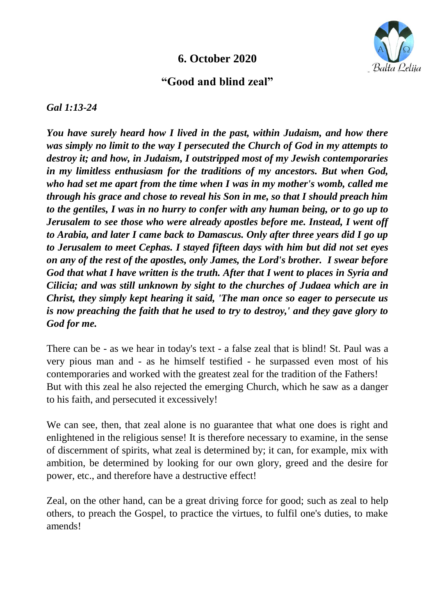## **6. October 2020**



## **"Good and blind zeal"**

*Gal 1:13-24*

*You have surely heard how I lived in the past, within Judaism, and how there was simply no limit to the way I persecuted the Church of God in my attempts to destroy it; and how, in Judaism, I outstripped most of my Jewish contemporaries in my limitless enthusiasm for the traditions of my ancestors. But when God, who had set me apart from the time when I was in my mother's womb, called me through his grace and chose to reveal his Son in me, so that I should preach him to the gentiles, I was in no hurry to confer with any human being, or to go up to Jerusalem to see those who were already apostles before me. Instead, I went off to Arabia, and later I came back to Damascus. Only after three years did I go up to Jerusalem to meet Cephas. I stayed fifteen days with him but did not set eyes on any of the rest of the apostles, only James, the Lord's brother. I swear before God that what I have written is the truth. After that I went to places in Syria and Cilicia; and was still unknown by sight to the churches of Judaea which are in Christ, they simply kept hearing it said, 'The man once so eager to persecute us is now preaching the faith that he used to try to destroy,' and they gave glory to God for me.*

There can be - as we hear in today's text - a false zeal that is blind! St. Paul was a very pious man and - as he himself testified - he surpassed even most of his contemporaries and worked with the greatest zeal for the tradition of the Fathers! But with this zeal he also rejected the emerging Church, which he saw as a danger to his faith, and persecuted it excessively!

We can see, then, that zeal alone is no guarantee that what one does is right and enlightened in the religious sense! It is therefore necessary to examine, in the sense of discernment of spirits, what zeal is determined by; it can, for example, mix with ambition, be determined by looking for our own glory, greed and the desire for power, etc., and therefore have a destructive effect!

Zeal, on the other hand, can be a great driving force for good; such as zeal to help others, to preach the Gospel, to practice the virtues, to fulfil one's duties, to make amends!